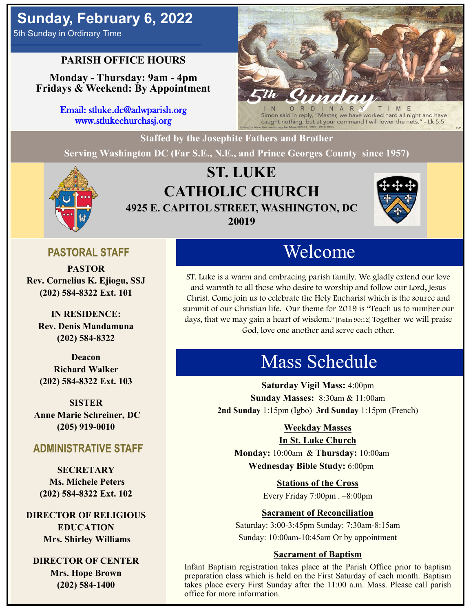# **Sunday, February 6, 2022**

5th Sunday in Ordinary Time

## **PARISH OFFICE HOURS**

**Monday - Thursday: 9am - 4pm Fridays & Weekend: By Appointment**

> Email: stluke.dc@adwparish.org www.stlukechurchssj.org



Simon said in reply, "Master, we have worked hard all night and have caught nothing, but at your command I will lower the nets." - Lk 5:5

**Staffed by the Josephite Fathers and Brother**

**Serving Washington DC (Far S.E., N.E., and Prince Georges County since 1957)**



# **ST. LUKE CATHOLIC CHURCH 4925 E. CAPITOL STREET, WASHINGTON, DC 20019**



## **PASTORAL STAFF**

**PASTOR Rev. Cornelius K. Ejiogu, SSJ (202) 584-8322 Ext. 101**

**IN RESIDENCE: Rev. Denis Mandamuna (202) 584-8322** 

**Deacon Richard Walker (202) 584-8322 Ext. 103**

**SISTER Anne Marie Schreiner, DC (205) 919-0010**

## **ADMINISTRATIVE STAFF**

**SECRETARY Ms. Michele Peters (202) 584-8322 Ext. 102**

**DIRECTOR OF RELIGIOUS EDUCATION Mrs. Shirley Williams**

**DIRECTOR OF CENTER Mrs. Hope Brown (202) 584-1400**

# Welcome

ST. Luke is a warm and embracing parish family. We gladly extend our love and warmth to all those who desire to worship and follow our Lord, Jesus Christ. Come join us to celebrate the Holy Eucharist which is the source and summit of our Christian life. Our theme for 2019 is "Teach us to number our days, that we may gain a heart of wisdom." [Psalm 90:12] Together we will praise God, love one another and serve each other.

# Mass Schedule

**Saturday Vigil Mass:** 4:00pm **Sunday Masses:** 8:30am & 11:00am **2nd Sunday** 1:15pm (Igbo) **3rd Sunday** 1:15pm (French)

#### **Weekday Masses**

#### **In St. Luke Church**

**Monday:** 10:00am & **Thursday:** 10:00am **Wednesday Bible Study:** 6:00pm

**Stations of the Cross**

Every Friday 7:00pm . –8:00pm

### **Sacrament of Reconciliation**

Saturday: 3:00-3:45pm Sunday: 7:30am-8:15am Sunday: 10:00am-10:45am Or by appointment

#### **Sacrament of Baptism**

Infant Baptism registration takes place at the Parish Office prior to baptism preparation class which is held on the First Saturday of each month. Baptism takes place every First Sunday after the 11:00 a.m. Mass. Please call parish office for more information.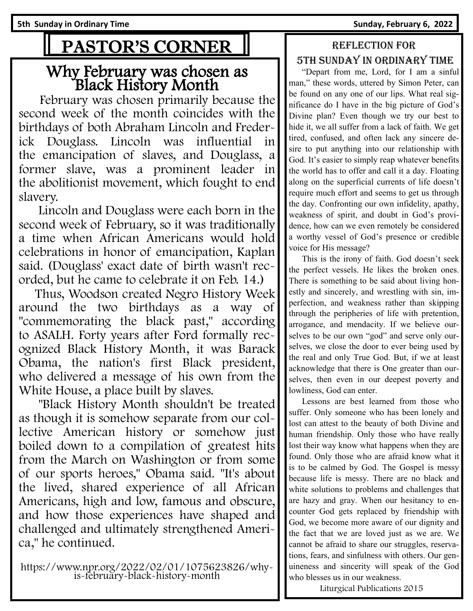# PASTOR'S CORNER

# Why February was chosen as Black History Month

 February was chosen primarily because the second week of the month coincides with the birthdays of both Abraham Lincoln and Frederick Douglass. Lincoln was influential in the emancipation of slaves, and Douglass, a former slave, was a prominent leader in the abolitionist movement, which fought to end slavery.

 Lincoln and Douglass were each born in the second week of February, so it was traditionally a time when African Americans would hold celebrations in honor of emancipation, Kaplan said. (Douglass' exact date of birth wasn't recorded, but he came to celebrate it on Feb. 14.)

 Thus, Woodson created Negro History Week around the two birthdays as a way of "commemorating the black past," according to ASALH. Forty years after Ford formally recognized Black History Month, it was Barack Obama, the nation's first Black president, who delivered a message of his own from the White House, a place built by slaves.

 "Black History Month shouldn't be treated as though it is somehow separate from our collective American history or somehow just boiled down to a compilation of greatest hits from the March on Washington or from some of our sports heroes," Obama said. "It's about the lived, shared experience of all African Americans, high and low, famous and obscure, and how those experiences have shaped and challenged and ultimately strengthened America," he continued.

https://www.npr.org/2022/02/01/1075623826/whyis-february-black-history-month

## Reflection for 5th Sunday in Ordinary time

 "Depart from me, Lord, for I am a sinful man," these words, uttered by Simon Peter, can be found on any one of our lips. What real significance do I have in the big picture of God's Divine plan? Even though we try our best to hide it, we all suffer from a lack of faith. We get tired, confused, and often lack any sincere desire to put anything into our relationship with God. It's easier to simply reap whatever benefits the world has to offer and call it a day. Floating along on the superficial currents of life doesn't require much effort and seems to get us through the day. Confronting our own infidelity, apathy, weakness of spirit, and doubt in God's providence, how can we even remotely be considered a worthy vessel of God's presence or credible voice for His message?

 This is the irony of faith. God doesn't seek the perfect vessels. He likes the broken ones. There is something to be said about living honestly and sincerely, and wrestling with sin, imperfection, and weakness rather than skipping through the peripheries of life with pretention, arrogance, and mendacity. If we believe ourselves to be our own "god" and serve only ourselves, we close the door to ever being used by the real and only True God. But, if we at least acknowledge that there is One greater than ourselves, then even in our deepest poverty and lowliness, God can enter.

 Lessons are best learned from those who suffer. Only someone who has been lonely and lost can attest to the beauty of both Divine and human friendship. Only those who have really lost their way know what happens when they are found. Only those who are afraid know what it is to be calmed by God. The Gospel is messy because life is messy. There are no black and white solutions to problems and challenges that are hazy and gray. When our hesitancy to encounter God gets replaced by friendship with God, we become more aware of our dignity and the fact that we are loved just as we are. We cannot be afraid to share our struggles, reservations, fears, and sinfulness with others. Our genuineness and sincerity will speak of the God who blesses us in our weakness.

Liturgical Publications 2015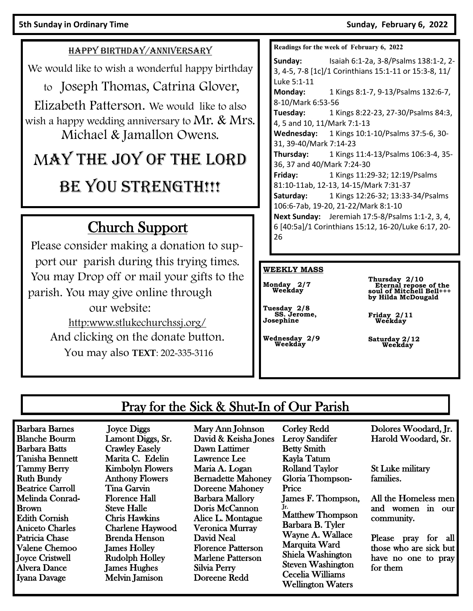#### HAPPY BIRTHDAY/ANNIVERSARY

We would like to wish a wonderful happy birthday

to Joseph Thomas, Catrina Glover,

Elizabeth Patterson. We would like to also wish a happy wedding anniversary to Mr.  $\&$  Mrs. Michael & Jamallon Owens.

# MAY THE JOY OF THE LORD BE YOU STRENGTH!!!

# Church Support

Please consider making a donation to support our parish during this trying times. You may Drop off or mail your gifts to the parish. You may give online through our website: http:www.stlukechurchssj.org/ And clicking on the donate button.

You may also **TEXT**: 202-335-3116

**Readings for the week of February 6, 2022**

**Sunday:** Isaiah 6:1-2a, 3-8/Psalms 138:1-2, 2- 3, 4-5, 7-8 [1c]/1 Corinthians 15:1-11 or 15:3-8, 11/ Luke 5:1-11 **Monday:** 1 Kings 8:1-7, 9-13/Psalms 132:6-7, 8-10/Mark 6:53-56 **Tuesday:** 1 Kings 8:22-23, 27-30/Psalms 84:3, 4, 5 and 10, 11/Mark 7:1-13 **Wednesday:** 1 Kings 10:1-10/Psalms 37:5-6, 30- 31, 39-40/Mark 7:14-23 **Thursday:** 1 Kings 11:4-13/Psalms 106:3-4, 35- 36, 37 and 40/Mark 7:24-30 **Friday:** 1 Kings 11:29-32; 12:19/Psalms 81:10-11ab, 12-13, 14-15/Mark 7:31-37 **Saturday:** 1 Kings 12:26-32; 13:33-34/Psalms 106:6-7ab, 19-20, 21-22/Mark 8:1-10 **Next Sunday:** Jeremiah 17:5-8/Psalms 1:1-2, 3, 4, 6 [40:5a]/1 Corinthians 15:12, 16-20/Luke 6:17, 20- 26

#### **WEEKLY MASS**

**Monday 2/7 Weekday** 

**Tuesday 2/8 SS. Jerome, Josephine**

**Wednesday 2/9 Weekday**

**Thursday 2/10 Eternal repose of the soul of Mitchell Bell+++ by Hilda McDougald**

**Friday 2/11 Weekday**

**Saturday 2/12 Weekday**

# Pray for the Sick & Shut-In of Our Parish

Barbara Barnes Blanche Bourm Barbara Batts Tanisha Bennett Tammy Berry Ruth Bundy Beatrice Carroll Melinda Conrad-Brown Edith Cornish Aniceto Charles Patricia Chase Valene Chemoo Joyce Cristwell Alvera Dance Iyana Davage

 Joyce Diggs Lamont Diggs, Sr. Crawley Easely Marita C. Edelin Kimbolyn Flowers Anthony Flowers Tina Garvin Florence Hall Steve Halle Chris Hawkins Charlene Haywood Brenda Henson James Holley Rudolph Holley James Hughes Melvin Jamison

Mary Ann Johnson David & Keisha Jones Dawn Lattimer Lawrence Lee Maria A. Logan Bernadette Mahoney Doreene Mahoney Barbara Mallory Doris McCannon Alice L. Montague Veronica Murray David Neal Florence Patterson Marlene Patterson Silvia Perry Doreene Redd

Corley Redd Leroy Sandifer Betty Smith Kayla Tatum Rolland Taylor Gloria Thompson-Price James F. Thompson, Jr. Matthew Thompson Barbara B. Tyler Wayne A. Wallace Marquita Ward Shiela Washington Steven Washington Cecelia Williams Wellington Waters

Dolores Woodard, Jr. Harold Woodard, Sr.

St Luke military families.

All the Homeless men and women in our community.

Please pray for all those who are sick but have no one to pray for them